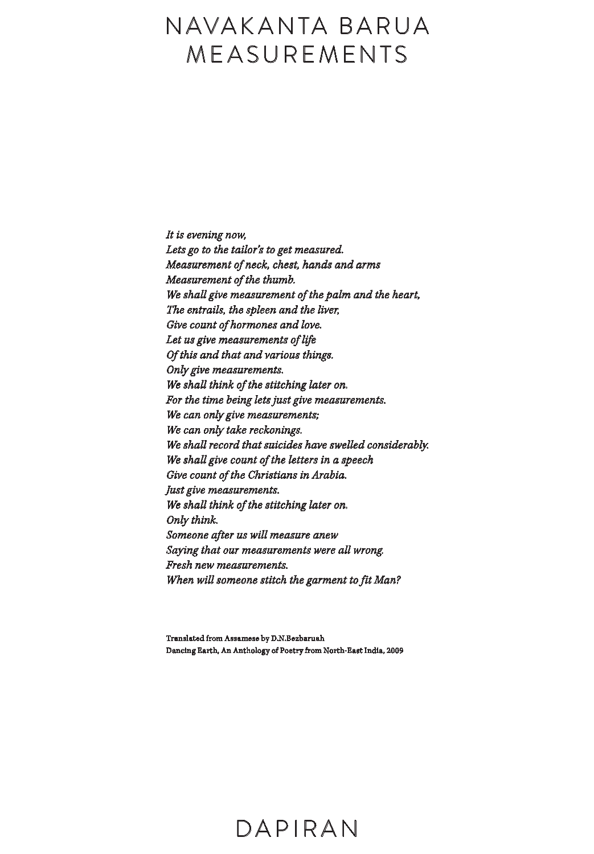# NAVAKANTA BARUA MEASUREMENTS

It is evening now, Lets go to the tailor's to get measured. Measurement of neck, chest, hands and arms Measurement of the thumb. We shall give measurement of the palm and the heart, The entrails, the spleen and the liver, Give count of hormones and love. Let us give measurements of life Of this and that and various things. Only give measurements. We shall think of the stitching later on. For the time being lets just give measurements. We can only give measurements; We can only take reckonings. We shall record that suicides have swelled considerably. We shall give count of the letters in a speech Give count of the Christians in Arabia. Just give measurements. We shall think of the stitching later on. Only think. Someone after us will measure anew Saying that our measurements were all wrong. Fresh new measurements. When will someone stitch the garment to fit Man?

Translated from Assamese by D.N.Bezbaruah Dancing Earth, An Anthology of Poetry from North-East India, 2009

## DA P IRA N